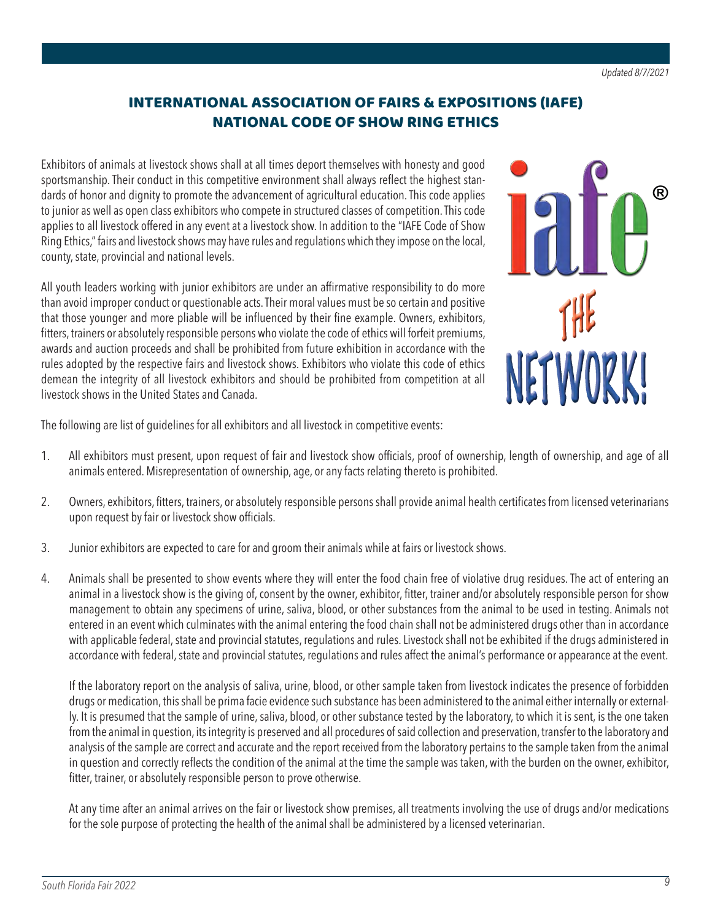## INTERNATIONAL ASSOCIATION OF FAIRS & EXPOSITIONS (IAFE) NATIONAL CODE OF SHOW RING ETHICS

Exhibitors of animals at livestock shows shall at all times deport themselves with honesty and good sportsmanship. Their conduct in this competitive environment shall always reflect the highest standards of honor and dignity to promote the advancement of agricultural education. This code applies to junior as well as open class exhibitors who compete in structured classes of competition. This code applies to all livestock offered in any event at a livestock show. In addition to the "IAFE Code of Show Ring Ethics," fairs and livestock shows may have rules and regulations which they impose on the local, county, state, provincial and national levels.

All youth leaders working with junior exhibitors are under an affirmative responsibility to do more than avoid improper conduct or questionable acts. Their moral values must be so certain and positive that those younger and more pliable will be influenced by their fine example. Owners, exhibitors, fitters, trainers or absolutely responsible persons who violate the code of ethics will forfeit premiums, awards and auction proceeds and shall be prohibited from future exhibition in accordance with the rules adopted by the respective fairs and livestock shows. Exhibitors who violate this code of ethics demean the integrity of all livestock exhibitors and should be prohibited from competition at all livestock shows in the United States and Canada.



The following are list of guidelines for all exhibitors and all livestock in competitive events:

- 1. All exhibitors must present, upon request of fair and livestock show officials, proof of ownership, length of ownership, and age of all animals entered. Misrepresentation of ownership, age, or any facts relating thereto is prohibited.
- 2. Owners, exhibitors, fitters, trainers, or absolutely responsible persons shall provide animal health certificates from licensed veterinarians upon request by fair or livestock show officials.
- 3. Junior exhibitors are expected to care for and groom their animals while at fairs or livestock shows.
- 4. Animals shall be presented to show events where they will enter the food chain free of violative drug residues. The act of entering an animal in a livestock show is the giving of, consent by the owner, exhibitor, fitter, trainer and/or absolutely responsible person for show management to obtain any specimens of urine, saliva, blood, or other substances from the animal to be used in testing. Animals not entered in an event which culminates with the animal entering the food chain shall not be administered drugs other than in accordance with applicable federal, state and provincial statutes, regulations and rules. Livestock shall not be exhibited if the drugs administered in accordance with federal, state and provincial statutes, regulations and rules affect the animal's performance or appearance at the event.

 If the laboratory report on the analysis of saliva, urine, blood, or other sample taken from livestock indicates the presence of forbidden drugs or medication, this shall be prima facie evidence such substance has been administered to the animal either internally or externally. It is presumed that the sample of urine, saliva, blood, or other substance tested by the laboratory, to which it is sent, is the one taken from the animal in question, its integrity is preserved and all procedures of said collection and preservation, transfer to the laboratory and analysis of the sample are correct and accurate and the report received from the laboratory pertains to the sample taken from the animal in question and correctly reflects the condition of the animal at the time the sample was taken, with the burden on the owner, exhibitor, fitter, trainer, or absolutely responsible person to prove otherwise.

 At any time after an animal arrives on the fair or livestock show premises, all treatments involving the use of drugs and/or medications for the sole purpose of protecting the health of the animal shall be administered by a licensed veterinarian.